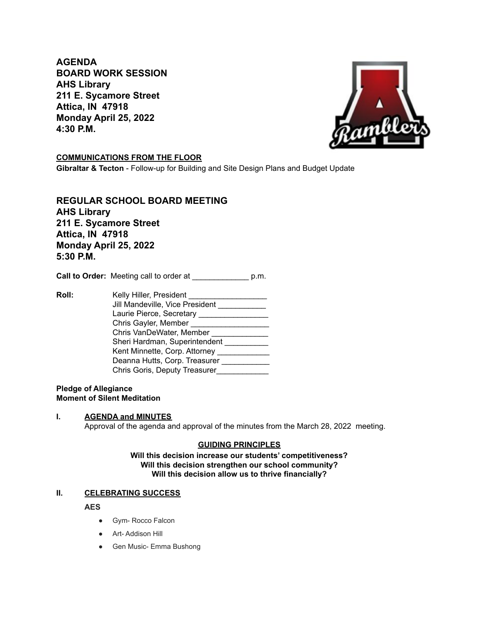**AGENDA BOARD WORK SESSION AHS Library 211 E. Sycamore Street Attica, IN 47918 Monday April 25, 2022 4:30 P.M.**



# **COMMUNICATIONS FROM THE FLOOR**

**Gibraltar & Tecton** - Follow-up for Building and Site Design Plans and Budget Update

**REGULAR SCHOOL BOARD MEETING AHS Library 211 E. Sycamore Street Attica, IN 47918 Monday April 25, 2022 5:30 P.M.**

**Call to Order:** Meeting call to order at \_\_\_\_\_\_\_\_\_\_\_\_\_ p.m.

**Roll:** Kelly Hiller, President \_\_\_\_\_\_\_\_\_\_\_\_\_\_\_\_\_\_ Jill Mandeville, Vice President \_\_\_\_\_\_\_\_\_\_\_ Laurie Pierce, Secretary \_\_\_\_\_\_\_\_\_\_\_\_\_\_\_\_\_\_\_\_ Chris Gayler, Member \_\_\_\_\_\_\_\_\_\_\_\_\_\_\_\_\_\_ Chris VanDeWater, Member \_\_\_\_\_\_\_\_\_\_\_\_\_\_ Sheri Hardman, Superintendent Kent Minnette, Corp. Attorney \_\_\_\_\_\_\_\_\_\_\_\_\_ Deanna Hutts, Corp. Treasurer \_\_\_\_\_\_\_\_\_\_\_ Chris Goris, Deputy Treasurer\_\_\_\_\_\_\_\_\_\_\_\_\_

### **Pledge of Allegiance Moment of Silent Meditation**

### **I. AGENDA and MINUTES** Approval of the agenda and approval of the minutes from the March 28, 2022 meeting.

# **GUIDING PRINCIPLES**

**Will this decision increase our students' competitiveness? Will this decision strengthen our school community? Will this decision allow us to thrive financially?**

# **II. CELEBRATING SUCCESS**

**AES**

- Gym- Rocco Falcon
- Art- Addison Hill
- Gen Music- Emma Bushong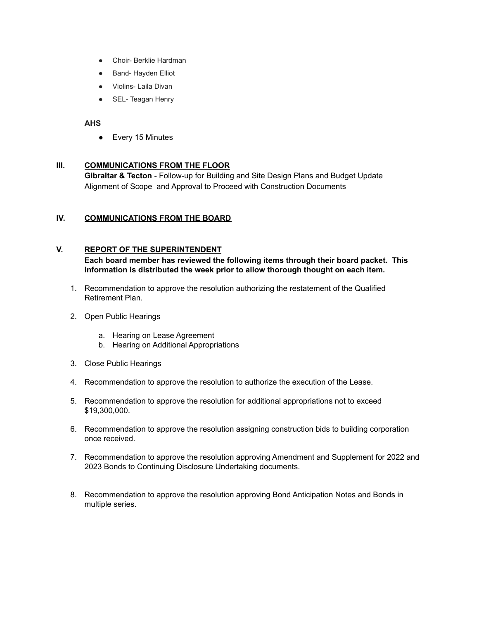- Choir- Berklie Hardman
- **Band- Hayden Elliot**
- Violins- Laila Divan
- SEL- Teagan Henry

## **AHS**

● Every 15 Minutes

## **III. COMMUNICATIONS FROM THE FLOOR**

**Gibraltar & Tecton** - Follow-up for Building and Site Design Plans and Budget Update Alignment of Scope and Approval to Proceed with Construction Documents

# **IV. COMMUNICATIONS FROM THE BOARD**

## **V. REPORT OF THE SUPERINTENDENT**

**Each board member has reviewed the following items through their board packet. This information is distributed the week prior to allow thorough thought on each item.**

- 1. Recommendation to approve the resolution authorizing the restatement of the Qualified Retirement Plan.
- 2. Open Public Hearings
	- a. Hearing on Lease Agreement
	- b. Hearing on Additional Appropriations
- 3. Close Public Hearings
- 4. Recommendation to approve the resolution to authorize the execution of the Lease.
- 5. Recommendation to approve the resolution for additional appropriations not to exceed \$19,300,000.
- 6. Recommendation to approve the resolution assigning construction bids to building corporation once received.
- 7. Recommendation to approve the resolution approving Amendment and Supplement for 2022 and 2023 Bonds to Continuing Disclosure Undertaking documents.
- 8. Recommendation to approve the resolution approving Bond Anticipation Notes and Bonds in multiple series.